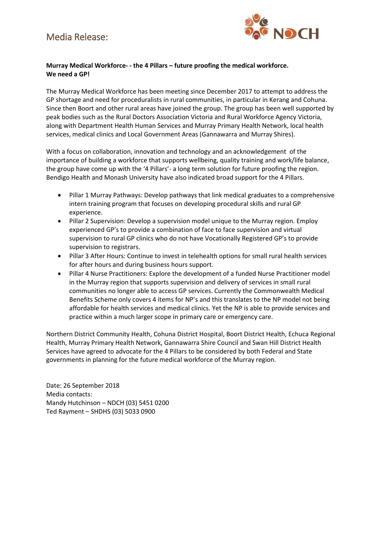#### Media Release:



#### Murray Medical Workforce- - the 4 Pillars - future proofing the medical workforce. We need a GP!

The Murray Medical Workforce has been meeting since December 2017 to attempt to address the GP shortage and need for proceduralists in rural communities, in particular in Kerang and Cohuna. Since then Boort and other rural areas have joined the group. The group has been well supported by peak bodies such as the Rural Doctors Association Victoria and Rural Workforce Agency Victoria, along with Department Health Human Services and Murray Primary Health Network, local health services, medical clinics and Local Government Areas (Gannawarra and Murray Shires).

With a focus on collaboration, innovation and technology and an acknowledgement of the importance of building a workforce that supports wellbeing, quality training and work/life balance, the group have come up with the '4 Pillars'- a long term solution for future proofing the region. Bendigo Health and Monash University have also indicated broad support for the 4 Pillars.

- Pillar 1 Murray Pathways: Develop pathways that link medical graduates to a comprehensive  $\bullet$ intern training program that focuses on developing procedural skills and rural GP experience.
- Pillar 2 Supervision: Develop a supervision model unique to the Murray region. Employ  $\bullet$ experienced GP's to provide a combination of face to face supervision and virtual supervision to rural GP clinics who do not have Vocationally Registered GP's to provide supervision to registrars.
- Pillar 3 After Hours: Continue to invest in telehealth options for small rural health services for after hours and during business hours support.
- Pillar 4 Nurse Practitioners: Explore the development of a funded Nurse Practitioner model  $\bullet$ in the Murray region that supports supervision and delivery of services in small rural communities no longer able to access GP services. Currently the Commonwealth Medical Benefits Scheme only covers 4 items for NP's and this translates to the NP model not being affordable for health services and medical clinics. Yet the NP is able to provide services and practice within a much larger scope in primary care or emergency care.

Northern District Community Health, Cohuna District Hospital, Boort District Health, Echuca Regional Health, Murray Primary Health Network, Gannawarra Shire Council and Swan Hill District Health Services have agreed to advocate for the 4 Pillars to be considered by both Federal and State governments in planning for the future medical workforce of the Murray region.

Date: 26 September 2018 Media contacts: Mandy Hutchinson - NDCH (03) 5451 0200 Ted Rayment - SHDHS (03) 5033 0900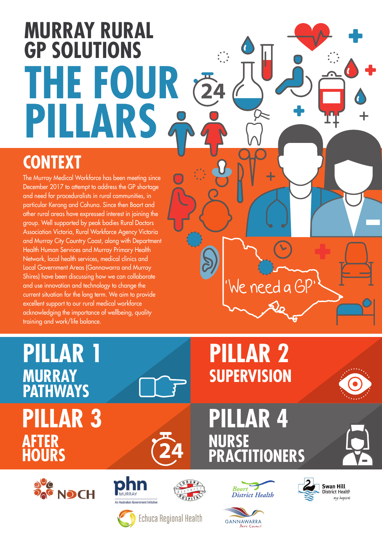# **MURRAY RURAL GP SOLUTIONS THE FOUR**   $\overline{24}$ **PILLARS**

#### **CONTEXT**

The Murray Medical Workforce has been meeting since December 2017 to attempt to address the GP shortage and need for proceduralists in rural communities, in particular Kerang and Cohuna. Since then Boort and other rural areas have expressed interest in joining the group. Well supported by peak bodies Rural Doctors Association Victoria, Rural Workforce Agency Victoria and Murray City Country Coast, along with Department Health Human Services and Murray Primary Health Network, local health services, medical clinics and Local Government Areas (Gannawarra and Murray Shires) have been discussing how we can collaborate and use innovation and technology to change the current situation for the long term. We aim to provide excellent support to our rural medical workforce acknowledging the importance of wellbeing, quality training and work/life balance.

## **PILLAR 1 MURRAY PATHWAYS PILLAR 3 AFTER HOURS**



## **PILLAR 2 SUPERVISION**

'We need a GP'

## **PILLAR 4 NURSE PRACTITIONERS**